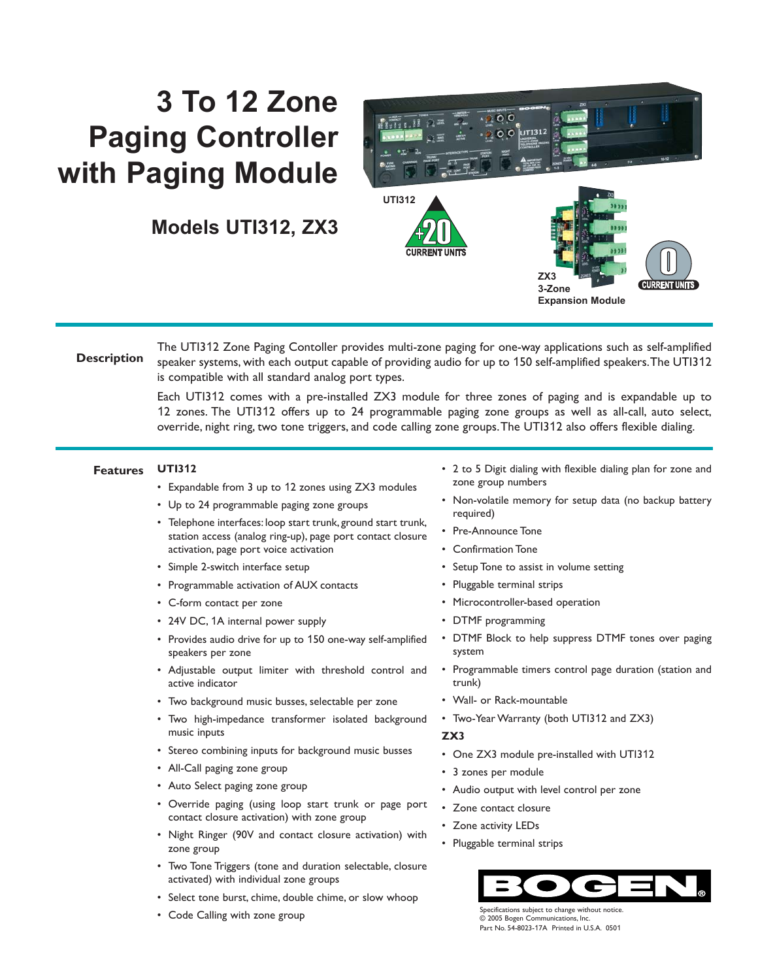## **3 To 12 Zone Paging Controller with Paging Module**

**Models UTI312, ZX3**



**Description** The UTI312 Zone Paging Contoller provides multi-zone paging for one-way applications such as self-amplified speaker systems, with each output capable of providing audio for up to 150 self-amplified speakers.The UTI312 is compatible with all standard analog port types.

> Each UTI312 comes with a pre-installed ZX3 module for three zones of paging and is expandable up to 12 zones. The UTI312 offers up to 24 programmable paging zone groups as well as all-call, auto select, override, night ring, two tone triggers, and code calling zone groups.The UTI312 also offers flexible dialing.

## **UTI312 Features**

• Expandable from 3 up to 12 zones using ZX3 modules

- Up to 24 programmable paging zone groups
- Telephone interfaces: loop start trunk, ground start trunk, station access (analog ring-up), page port contact closure activation, page port voice activation
- Simple 2-switch interface setup
- Programmable activation of AUX contacts
- C-form contact per zone
- 24V DC, 1A internal power supply
- Provides audio drive for up to 150 one-way self-amplified speakers per zone
- Adjustable output limiter with threshold control and active indicator
- Two background music busses, selectable per zone
- Two high-impedance transformer isolated background music inputs
- Stereo combining inputs for background music busses
- All-Call paging zone group
- Auto Select paging zone group
- Override paging (using loop start trunk or page port contact closure activation) with zone group
- Night Ringer (90V and contact closure activation) with zone group
- Two Tone Triggers (tone and duration selectable, closure activated) with individual zone groups
- Select tone burst, chime, double chime, or slow whoop
- Code Calling with zone group
- 2 to 5 Digit dialing with flexible dialing plan for zone and zone group numbers
- Non-volatile memory for setup data (no backup battery required)
- Pre-Announce Tone
- Confirmation Tone
- Setup Tone to assist in volume setting
- Pluggable terminal strips
- Microcontroller-based operation
- DTMF programming
- DTMF Block to help suppress DTMF tones over paging system
- Programmable timers control page duration (station and trunk)
- Wall- or Rack-mountable
- Two-Year Warranty (both UTI312 and ZX3)

## **ZX3**

- One ZX3 module pre-installed with UTI312
- 3 zones per module
- Audio output with level control per zone
- Zone contact closure
- Zone activity LEDs
- Pluggable terminal strips



Specifications subject to change without notice. © 2005 Bogen Communications, Inc. Part No. 54-8023-17A Printed in U.S.A. 0501